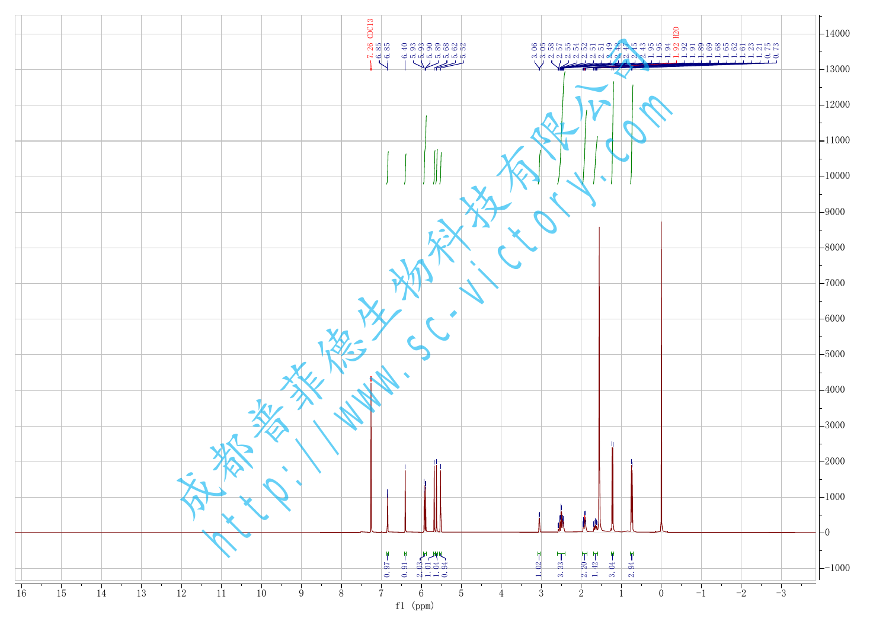